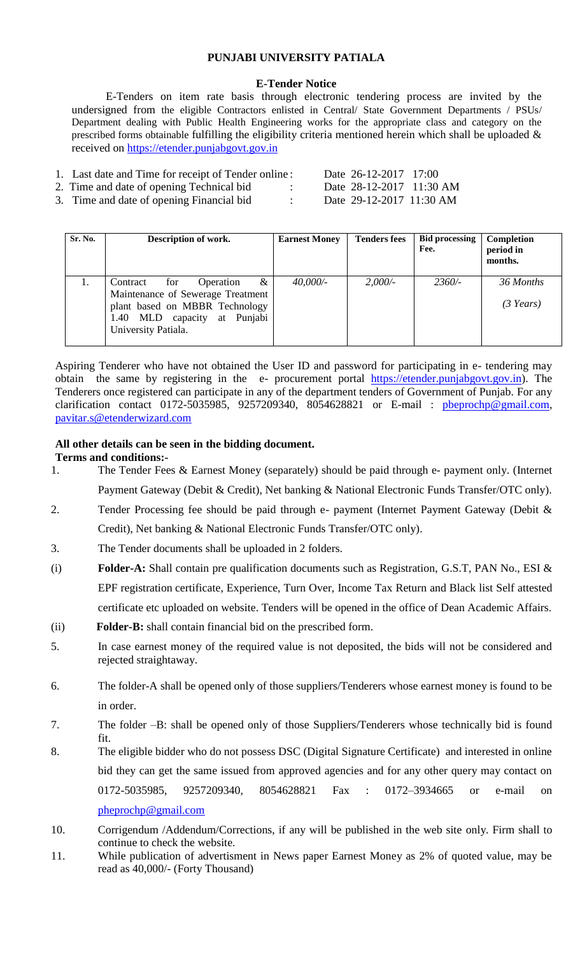## **PUNJABI UNIVERSITY PATIALA**

### **E-Tender Notice**

 E-Tenders on item rate basis through electronic tendering process are invited by the undersigned from the eligible Contractors enlisted in Central/ State Government Departments / PSUs/ Department dealing with Public Health Engineering works for the appropriate class and category on the prescribed forms obtainable fulfilling the eligibility criteria mentioned herein which shall be uploaded & received on [https://etender.punjabgovt.gov.in](https://etender.punjabgovt.gov.in/)

| 1. Last date and Time for receipt of Tender online: |  | Date 26-12-2017 17:00    |  |
|-----------------------------------------------------|--|--------------------------|--|
| 2. Time and date of opening Technical bid           |  | Date 28-12-2017 11:30 AM |  |
| 3. Time and date of opening Financial bid           |  | Date 29-12-2017 11:30 AM |  |

| Sr. No. | Description of work.                                                                                                                                            | <b>Earnest Money</b> | <b>Tenders fees</b> | <b>Bid processing</b><br>Fee. | Completion<br>period in<br>months. |
|---------|-----------------------------------------------------------------------------------------------------------------------------------------------------------------|----------------------|---------------------|-------------------------------|------------------------------------|
| 1.      | &<br>Contract<br>for<br>Operation<br>Maintenance of Sewerage Treatment<br>plant based on MBBR Technology<br>1.40 MLD capacity at Punjabi<br>University Patiala. | 40,000/              | 2,000/              | $2360/-$                      | 36 Months<br>$(3 \text{ Years})$   |

Aspiring Tenderer who have not obtained the User ID and password for participating in e- tendering may obtain the same by registering in the e- procurement portal [https://etender.punjabgovt.gov.in\)](https://etender.punjabgovt.gov.in/). The Tenderers once registered can participate in any of the department tenders of Government of Punjab. For any clarification contact 0172-5035985, 9257209340, 8054628821 or E-mail : [pbeprochp@gmail.com,](mailto:pbeprochp@gmail.com) [pavitar.s@etenderwizard.com](mailto:pavitar.s@etenderwizard.com)

#### **All other details can be seen in the bidding document.**

#### **Terms and conditions:-**

- 1. The Tender Fees & Earnest Money (separately) should be paid through e- payment only. (Internet Payment Gateway (Debit & Credit), Net banking & National Electronic Funds Transfer/OTC only).
- 2. Tender Processing fee should be paid through e- payment (Internet Payment Gateway (Debit & Credit), Net banking & National Electronic Funds Transfer/OTC only).
- 3. The Tender documents shall be uploaded in 2 folders.
- (i) **Folder-A:** Shall contain pre qualification documents such as Registration, G.S.T, PAN No., ESI & EPF registration certificate, Experience, Turn Over, Income Tax Return and Black list Self attested certificate etc uploaded on website. Tenders will be opened in the office of Dean Academic Affairs.
- (ii) **Folder-B:** shall contain financial bid on the prescribed form.
- 5. In case earnest money of the required value is not deposited, the bids will not be considered and rejected straightaway.
- 6. The folder-A shall be opened only of those suppliers/Tenderers whose earnest money is found to be in order.
- 7. The folder –B: shall be opened only of those Suppliers/Tenderers whose technically bid is found fit.
- 8. The eligible bidder who do not possess DSC (Digital Signature Certificate) and interested in online bid they can get the same issued from approved agencies and for any other query may contact on 0172-5035985, 9257209340, 8054628821 Fax : 0172–3934665 or e-mail on [pheprochp@gmail.com](mailto:pheprochp@gmail.com)
- 10. Corrigendum /Addendum/Corrections, if any will be published in the web site only. Firm shall to continue to check the website.
- 11. While publication of advertisment in News paper Earnest Money as 2% of quoted value, may be read as 40,000/- (Forty Thousand)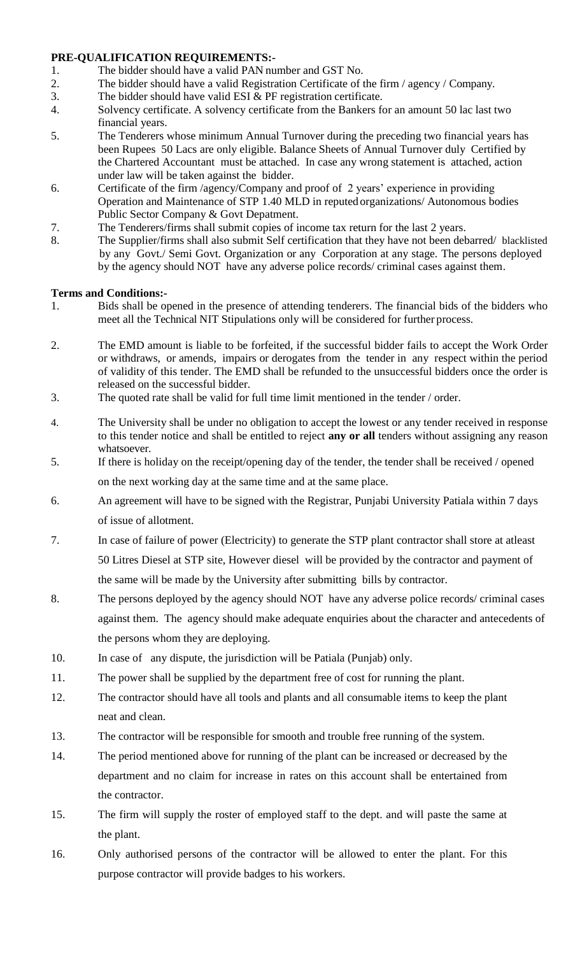## **PRE-QUALIFICATION REQUIREMENTS:-**

- 1. The bidder should have a valid PAN number and GST No.
- 2. The bidder should have a valid Registration Certificate of the firm / agency / Company.
- 3. The bidder should have valid ESI & PF registration certificate.
- 4. Solvency certificate. A solvency certificate from the Bankers for an amount 50 lac last two financial years.
- 5. The Tenderers whose minimum Annual Turnover during the preceding two financial years has been Rupees 50 Lacs are only eligible. Balance Sheets of Annual Turnover duly Certified by the Chartered Accountant must be attached. In case any wrong statement is attached, action under law will be taken against the bidder.
- 6. Certificate of the firm /agency/Company and proof of 2 years' experience in providing Operation and Maintenance of STP 1.40 MLD in reputed organizations/ Autonomous bodies Public Sector Company & Govt Depatment.
- 7. The Tenderers/firms shall submit copies of income tax return for the last 2 years.
- 8. The Supplier/firms shall also submit Self certification that they have not been debarred/ blacklisted by any Govt./ Semi Govt. Organization or any Corporation at any stage. The persons deployed by the agency should NOT have any adverse police records/ criminal cases against them.

# **Terms and Conditions:-**

- 1. Bids shall be opened in the presence of attending tenderers. The financial bids of the bidders who meet all the Technical NIT Stipulations only will be considered for further process.
- 2. The EMD amount is liable to be forfeited, if the successful bidder fails to accept the Work Order or withdraws, or amends, impairs or derogates from the tender in any respect within the period of validity of this tender. The EMD shall be refunded to the unsuccessful bidders once the order is released on the successful bidder.
- 3. The quoted rate shall be valid for full time limit mentioned in the tender / order.
- 4. The University shall be under no obligation to accept the lowest or any tender received in response to this tender notice and shall be entitled to reject **any or all** tenders without assigning any reason whatsoever.
- 5. If there is holiday on the receipt/opening day of the tender, the tender shall be received / opened on the next working day at the same time and at the same place.
- 6. An agreement will have to be signed with the Registrar, Punjabi University Patiala within 7 days of issue of allotment.
- 7. In case of failure of power (Electricity) to generate the STP plant contractor shall store at atleast 50 Litres Diesel at STP site, However diesel will be provided by the contractor and payment of the same will be made by the University after submitting bills by contractor.
- 8. The persons deployed by the agency should NOT have any adverse police records/ criminal cases against them. The agency should make adequate enquiries about the character and antecedents of the persons whom they are deploying.
- 10. In case of any dispute, the jurisdiction will be Patiala (Punjab) only.
- 11. The power shall be supplied by the department free of cost for running the plant.
- 12. The contractor should have all tools and plants and all consumable items to keep the plant neat and clean.
- 13. The contractor will be responsible for smooth and trouble free running of the system.
- 14. The period mentioned above for running of the plant can be increased or decreased by the department and no claim for increase in rates on this account shall be entertained from the contractor.
- 15. The firm will supply the roster of employed staff to the dept. and will paste the same at the plant.
- 16. Only authorised persons of the contractor will be allowed to enter the plant. For this purpose contractor will provide badges to his workers.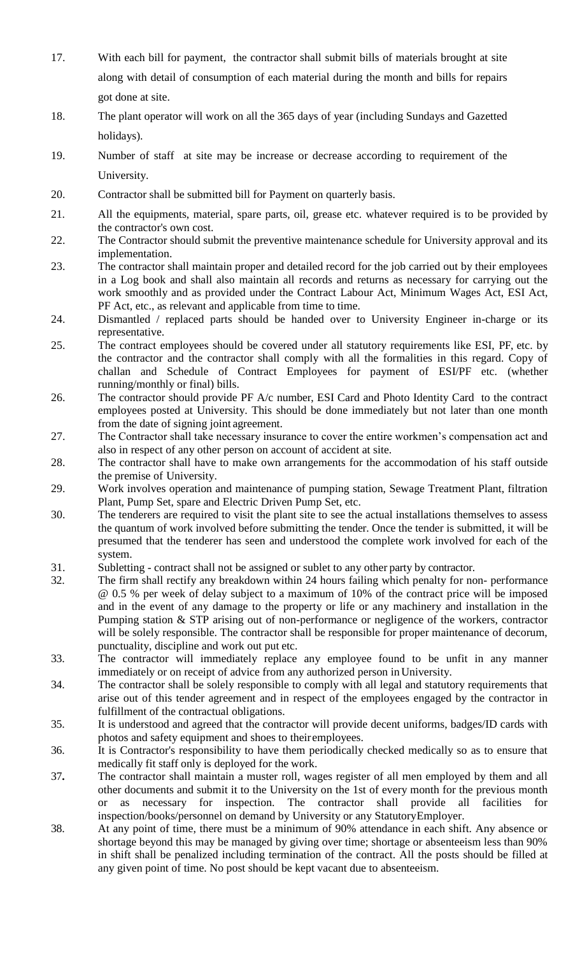- 17. With each bill for payment, the contractor shall submit bills of materials brought at site along with detail of consumption of each material during the month and bills for repairs got done at site.
- 18. The plant operator will work on all the 365 days of year (including Sundays and Gazetted holidays).
- 19. Number of staff at site may be increase or decrease according to requirement of the University.
- 20. Contractor shall be submitted bill for Payment on quarterly basis.
- 21. All the equipments, material, spare parts, oil, grease etc. whatever required is to be provided by the contractor's own cost.
- 22. The Contractor should submit the preventive maintenance schedule for University approval and its implementation.
- 23. The contractor shall maintain proper and detailed record for the job carried out by their employees in a Log book and shall also maintain all records and returns as necessary for carrying out the work smoothly and as provided under the Contract Labour Act, Minimum Wages Act, ESI Act, PF Act, etc., as relevant and applicable from time to time.
- 24. Dismantled / replaced parts should be handed over to University Engineer in-charge or its representative.
- 25. The contract employees should be covered under all statutory requirements like ESI, PF, etc. by the contractor and the contractor shall comply with all the formalities in this regard. Copy of challan and Schedule of Contract Employees for payment of ESI/PF etc. (whether running/monthly or final) bills.
- 26. The contractor should provide PF A/c number, ESI Card and Photo Identity Card to the contract employees posted at University. This should be done immediately but not later than one month from the date of signing joint agreement.
- 27. The Contractor shall take necessary insurance to cover the entire workmen's compensation act and also in respect of any other person on account of accident at site.
- 28. The contractor shall have to make own arrangements for the accommodation of his staff outside the premise of University.
- 29. Work involves operation and maintenance of pumping station, Sewage Treatment Plant, filtration Plant, Pump Set, spare and Electric Driven Pump Set, etc.
- 30. The tenderers are required to visit the plant site to see the actual installations themselves to assess the quantum of work involved before submitting the tender. Once the tender is submitted, it will be presumed that the tenderer has seen and understood the complete work involved for each of the system.
- 31. Subletting contract shall not be assigned or sublet to any other party by contractor.
- 32. The firm shall rectify any breakdown within 24 hours failing which penalty for non- performance @ 0.5 % per week of delay subject to a maximum of 10% of the contract price will be imposed and in the event of any damage to the property or life or any machinery and installation in the Pumping station & STP arising out of non-performance or negligence of the workers, contractor will be solely responsible. The contractor shall be responsible for proper maintenance of decorum, punctuality, discipline and work out put etc.
- 33. The contractor will immediately replace any employee found to be unfit in any manner immediately or on receipt of advice from any authorized person inUniversity.
- 34. The contractor shall be solely responsible to comply with all legal and statutory requirements that arise out of this tender agreement and in respect of the employees engaged by the contractor in fulfillment of the contractual obligations.
- 35. It is understood and agreed that the contractor will provide decent uniforms, badges/ID cards with photos and safety equipment and shoes to theiremployees.
- 36. It is Contractor's responsibility to have them periodically checked medically so as to ensure that medically fit staff only is deployed for the work.
- 37**.** The contractor shall maintain a muster roll, wages register of all men employed by them and all other documents and submit it to the University on the 1st of every month for the previous month or as necessary for inspection. The contractor shall provide all facilities inspection/books/personnel on demand by University or any StatutoryEmployer.
- 38. At any point of time, there must be a minimum of 90% attendance in each shift. Any absence or shortage beyond this may be managed by giving over time; shortage or absenteeism less than 90% in shift shall be penalized including termination of the contract. All the posts should be filled at any given point of time. No post should be kept vacant due to absenteeism.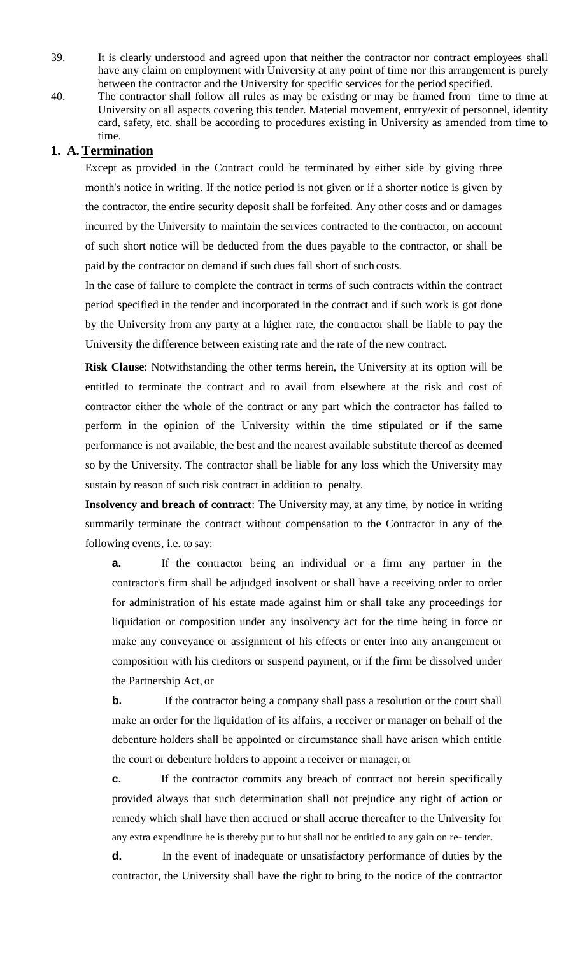- 39. It is clearly understood and agreed upon that neither the contractor nor contract employees shall have any claim on employment with University at any point of time nor this arrangement is purely between the contractor and the University for specific services for the period specified.
- 40. The contractor shall follow all rules as may be existing or may be framed from time to time at University on all aspects covering this tender. Material movement, entry/exit of personnel, identity card, safety, etc. shall be according to procedures existing in University as amended from time to time.

# **1. A. Termination**

Except as provided in the Contract could be terminated by either side by giving three month's notice in writing. If the notice period is not given or if a shorter notice is given by the contractor, the entire security deposit shall be forfeited. Any other costs and or damages incurred by the University to maintain the services contracted to the contractor, on account of such short notice will be deducted from the dues payable to the contractor, or shall be paid by the contractor on demand if such dues fall short of such costs.

In the case of failure to complete the contract in terms of such contracts within the contract period specified in the tender and incorporated in the contract and if such work is got done by the University from any party at a higher rate, the contractor shall be liable to pay the University the difference between existing rate and the rate of the new contract.

**Risk Clause**: Notwithstanding the other terms herein, the University at its option will be entitled to terminate the contract and to avail from elsewhere at the risk and cost of contractor either the whole of the contract or any part which the contractor has failed to perform in the opinion of the University within the time stipulated or if the same performance is not available, the best and the nearest available substitute thereof as deemed so by the University. The contractor shall be liable for any loss which the University may sustain by reason of such risk contract in addition to penalty.

**Insolvency and breach of contract**: The University may, at any time, by notice in writing summarily terminate the contract without compensation to the Contractor in any of the following events, i.e. to say:

**a.** If the contractor being an individual or a firm any partner in the contractor's firm shall be adjudged insolvent or shall have a receiving order to order for administration of his estate made against him or shall take any proceedings for liquidation or composition under any insolvency act for the time being in force or make any conveyance or assignment of his effects or enter into any arrangement or composition with his creditors or suspend payment, or if the firm be dissolved under the Partnership Act, or

**b.** If the contractor being a company shall pass a resolution or the court shall make an order for the liquidation of its affairs, a receiver or manager on behalf of the debenture holders shall be appointed or circumstance shall have arisen which entitle the court or debenture holders to appoint a receiver or manager, or

**c.** If the contractor commits any breach of contract not herein specifically provided always that such determination shall not prejudice any right of action or remedy which shall have then accrued or shall accrue thereafter to the University for any extra expenditure he is thereby put to but shall not be entitled to any gain on re- tender.

**d.** In the event of inadequate or unsatisfactory performance of duties by the contractor, the University shall have the right to bring to the notice of the contractor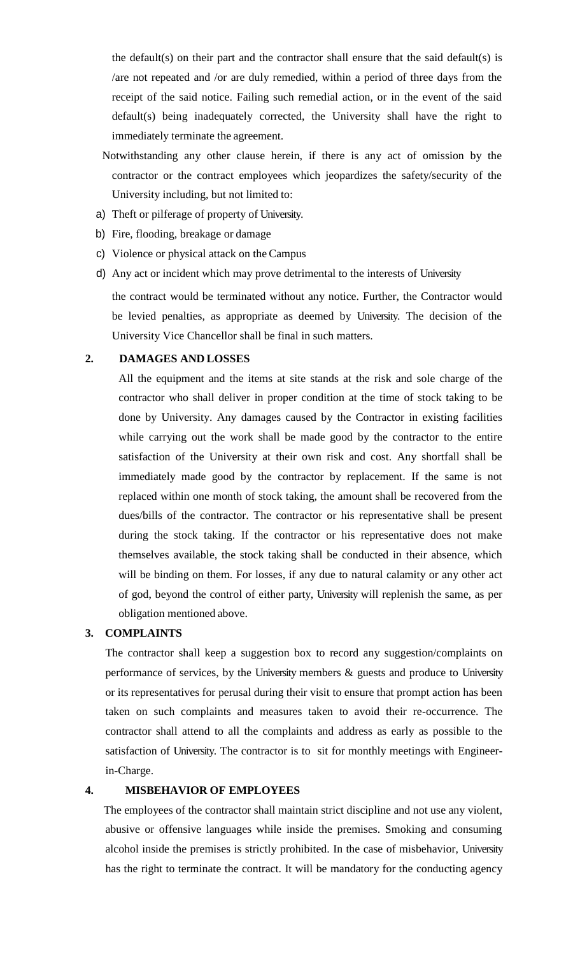the default(s) on their part and the contractor shall ensure that the said default(s) is /are not repeated and /or are duly remedied, within a period of three days from the receipt of the said notice. Failing such remedial action, or in the event of the said default(s) being inadequately corrected, the University shall have the right to immediately terminate the agreement.

- Notwithstanding any other clause herein, if there is any act of omission by the contractor or the contract employees which jeopardizes the safety/security of the University including, but not limited to:
- a) Theft or pilferage of property of University.
- b) Fire, flooding, breakage or damage
- c) Violence or physical attack on the Campus
- d) Any act or incident which may prove detrimental to the interests of University

the contract would be terminated without any notice. Further, the Contractor would be levied penalties, as appropriate as deemed by University. The decision of the University Vice Chancellor shall be final in such matters.

### **2. DAMAGES AND LOSSES**

All the equipment and the items at site stands at the risk and sole charge of the contractor who shall deliver in proper condition at the time of stock taking to be done by University. Any damages caused by the Contractor in existing facilities while carrying out the work shall be made good by the contractor to the entire satisfaction of the University at their own risk and cost. Any shortfall shall be immediately made good by the contractor by replacement. If the same is not replaced within one month of stock taking, the amount shall be recovered from the dues/bills of the contractor. The contractor or his representative shall be present during the stock taking. If the contractor or his representative does not make themselves available, the stock taking shall be conducted in their absence, which will be binding on them. For losses, if any due to natural calamity or any other act of god, beyond the control of either party, University will replenish the same, as per obligation mentioned above.

## **3. COMPLAINTS**

The contractor shall keep a suggestion box to record any suggestion/complaints on performance of services, by the University members & guests and produce to University or its representatives for perusal during their visit to ensure that prompt action has been taken on such complaints and measures taken to avoid their re-occurrence. The contractor shall attend to all the complaints and address as early as possible to the satisfaction of University. The contractor is to sit for monthly meetings with Engineerin-Charge.

### **4. MISBEHAVIOR OF EMPLOYEES**

The employees of the contractor shall maintain strict discipline and not use any violent, abusive or offensive languages while inside the premises. Smoking and consuming alcohol inside the premises is strictly prohibited. In the case of misbehavior, University has the right to terminate the contract. It will be mandatory for the conducting agency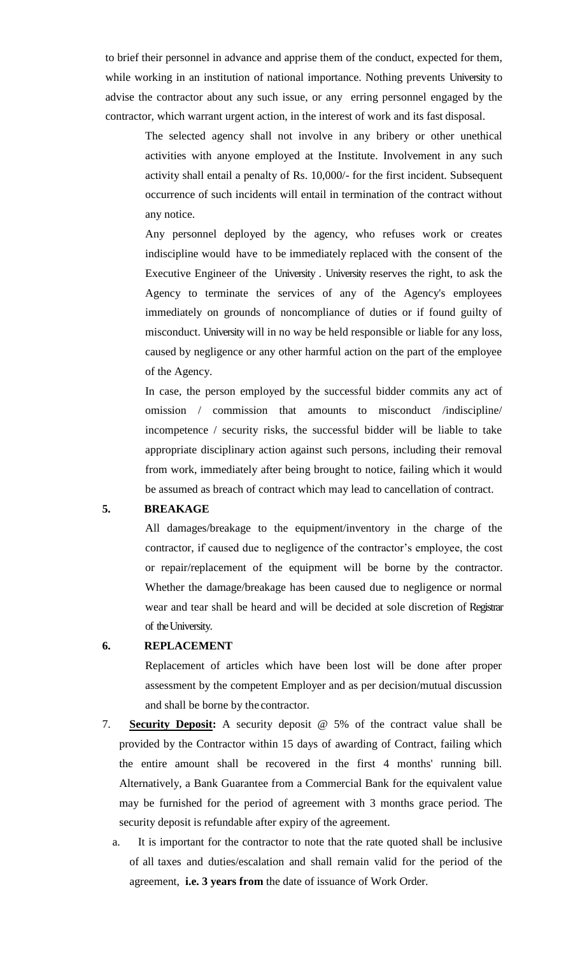to brief their personnel in advance and apprise them of the conduct, expected for them, while working in an institution of national importance. Nothing prevents University to advise the contractor about any such issue, or any erring personnel engaged by the contractor, which warrant urgent action, in the interest of work and its fast disposal.

> The selected agency shall not involve in any bribery or other unethical activities with anyone employed at the Institute. Involvement in any such activity shall entail a penalty of Rs. 10,000/- for the first incident. Subsequent occurrence of such incidents will entail in termination of the contract without any notice.

> Any personnel deployed by the agency, who refuses work or creates indiscipline would have to be immediately replaced with the consent of the Executive Engineer of the University . University reserves the right, to ask the Agency to terminate the services of any of the Agency's employees immediately on grounds of noncompliance of duties or if found guilty of misconduct. University will in no way be held responsible or liable for any loss, caused by negligence or any other harmful action on the part of the employee of the Agency.

> In case, the person employed by the successful bidder commits any act of omission / commission that amounts to misconduct /indiscipline/ incompetence / security risks, the successful bidder will be liable to take appropriate disciplinary action against such persons, including their removal from work, immediately after being brought to notice, failing which it would be assumed as breach of contract which may lead to cancellation of contract.

## **5. BREAKAGE**

All damages/breakage to the equipment/inventory in the charge of the contractor, if caused due to negligence of the contractor's employee, the cost or repair/replacement of the equipment will be borne by the contractor. Whether the damage/breakage has been caused due to negligence or normal wear and tear shall be heard and will be decided at sole discretion of Registrar of the University.

#### **6. REPLACEMENT**

Replacement of articles which have been lost will be done after proper assessment by the competent Employer and as per decision/mutual discussion and shall be borne by the contractor.

- 7. **Security Deposit:** A security deposit @ 5% of the contract value shall be provided by the Contractor within 15 days of awarding of Contract, failing which the entire amount shall be recovered in the first 4 months' running bill. Alternatively, a Bank Guarantee from a Commercial Bank for the equivalent value may be furnished for the period of agreement with 3 months grace period. The security deposit is refundable after expiry of the agreement.
	- a. It is important for the contractor to note that the rate quoted shall be inclusive of all taxes and duties/escalation and shall remain valid for the period of the agreement, **i.e. 3 years from** the date of issuance of Work Order.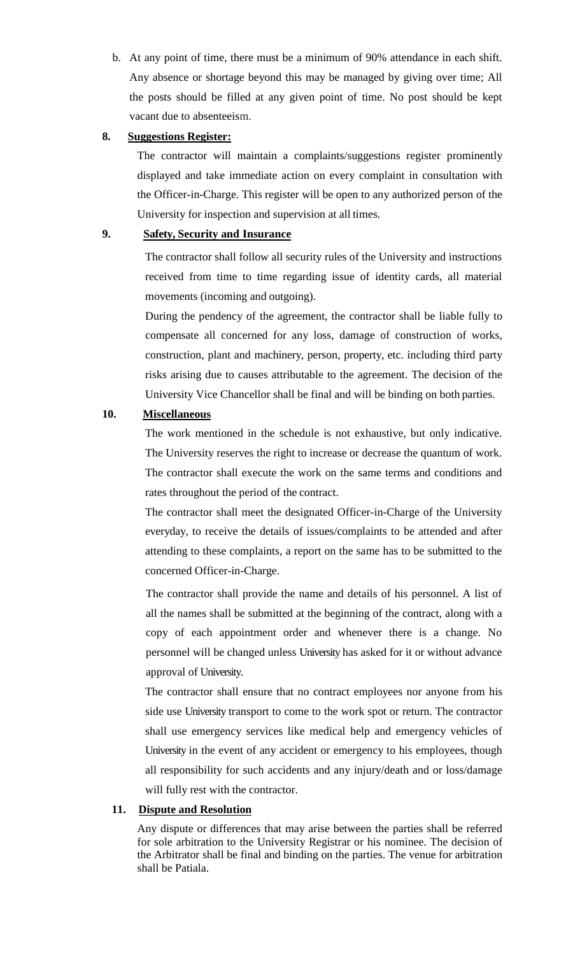b. At any point of time, there must be a minimum of 90% attendance in each shift. Any absence or shortage beyond this may be managed by giving over time; All the posts should be filled at any given point of time. No post should be kept vacant due to absenteeism.

#### **8. Suggestions Register:**

The contractor will maintain a complaints/suggestions register prominently displayed and take immediate action on every complaint in consultation with the Officer-in-Charge. This register will be open to any authorized person of the University for inspection and supervision at all times.

# **9. Safety, Security and Insurance**

The contractor shall follow all security rules of the University and instructions received from time to time regarding issue of identity cards, all material movements (incoming and outgoing).

During the pendency of the agreement, the contractor shall be liable fully to compensate all concerned for any loss, damage of construction of works, construction, plant and machinery, person, property, etc. including third party risks arising due to causes attributable to the agreement. The decision of the University Vice Chancellor shall be final and will be binding on both parties.

### **10. Miscellaneous**

The work mentioned in the schedule is not exhaustive, but only indicative. The University reserves the right to increase or decrease the quantum of work. The contractor shall execute the work on the same terms and conditions and rates throughout the period of the contract.

The contractor shall meet the designated Officer-in-Charge of the University everyday, to receive the details of issues/complaints to be attended and after attending to these complaints, a report on the same has to be submitted to the concerned Officer-in-Charge.

The contractor shall provide the name and details of his personnel. A list of all the names shall be submitted at the beginning of the contract, along with a copy of each appointment order and whenever there is a change. No personnel will be changed unless University has asked for it or without advance approval of University.

The contractor shall ensure that no contract employees nor anyone from his side use University transport to come to the work spot or return. The contractor shall use emergency services like medical help and emergency vehicles of University in the event of any accident or emergency to his employees, though all responsibility for such accidents and any injury/death and or loss/damage will fully rest with the contractor.

### **11. Dispute and Resolution**

Any dispute or differences that may arise between the parties shall be referred for sole arbitration to the University Registrar or his nominee. The decision of the Arbitrator shall be final and binding on the parties. The venue for arbitration shall be Patiala.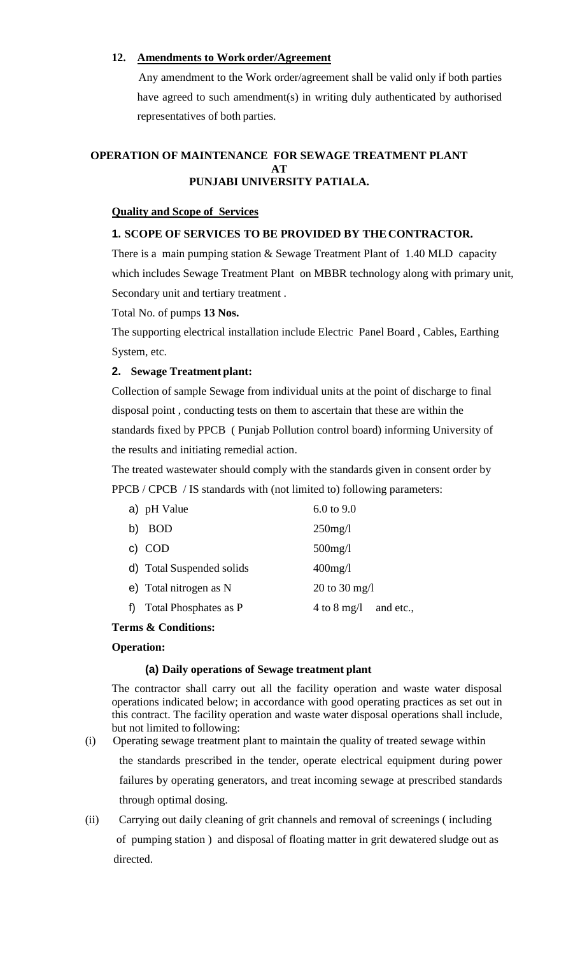## **12. Amendments to Work order/Agreement**

Any amendment to the Work order/agreement shall be valid only if both parties have agreed to such amendment(s) in writing duly authenticated by authorised representatives of both parties.

#### **OPERATION OF MAINTENANCE FOR SEWAGE TREATMENT PLANT AT PUNJABI UNIVERSITY PATIALA.**

## **Quality and Scope of Services**

## **1. SCOPE OF SERVICES TO BE PROVIDED BY THECONTRACTOR.**

There is a main pumping station & Sewage Treatment Plant of 1.40 MLD capacity which includes Sewage Treatment Plant on MBBR technology along with primary unit, Secondary unit and tertiary treatment .

Total No. of pumps **13 Nos.**

The supporting electrical installation include Electric Panel Board , Cables, Earthing System, etc.

## **2. Sewage Treatment plant:**

Collection of sample Sewage from individual units at the point of discharge to final disposal point , conducting tests on them to ascertain that these are within the standards fixed by PPCB ( Punjab Pollution control board) informing University of the results and initiating remedial action.

The treated wastewater should comply with the standards given in consent order by PPCB / CPCB / IS standards with (not limited to) following parameters:

|    | a) pH Value               | $6.0 \text{ to } 9.0$    |  |
|----|---------------------------|--------------------------|--|
| b) | <b>BOD</b>                | $250$ mg/l               |  |
|    | c) COD                    | $500$ mg/l               |  |
|    | d) Total Suspended solids | $400$ mg/l               |  |
|    | e) Total nitrogen as N    | 20 to 30 mg/l            |  |
|    | Total Phosphates as P     | 4 to 8 mg/l<br>and etc., |  |
|    |                           |                          |  |

## **Terms & Conditions:**

### **Operation:**

### **(a) Daily operations of Sewage treatment plant**

The contractor shall carry out all the facility operation and waste water disposal operations indicated below; in accordance with good operating practices as set out in this contract. The facility operation and waste water disposal operations shall include, but not limited to following:

- (i) Operating sewage treatment plant to maintain the quality of treated sewage within the standards prescribed in the tender, operate electrical equipment during power failures by operating generators, and treat incoming sewage at prescribed standards through optimal dosing.
- (ii) Carrying out daily cleaning of grit channels and removal of screenings ( including of pumping station ) and disposal of floating matter in grit dewatered sludge out as directed.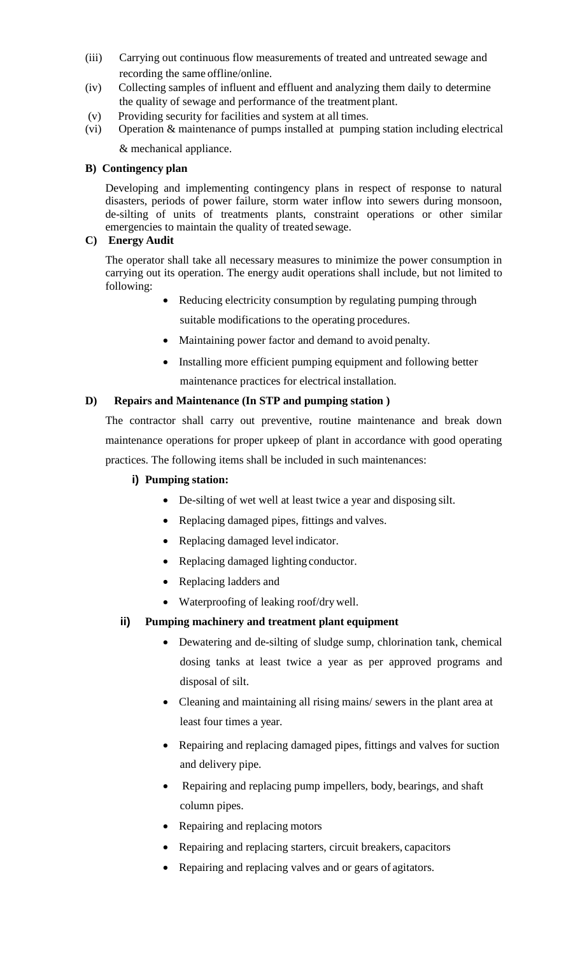- (iii) Carrying out continuous flow measurements of treated and untreated sewage and recording the same offline/online.
- (iv) Collecting samples of influent and effluent and analyzing them daily to determine the quality of sewage and performance of the treatment plant.
- (v) Providing security for facilities and system at all times.
- (vi) Operation & maintenance of pumps installed at pumping station including electrical & mechanical appliance.

## **B) Contingency plan**

Developing and implementing contingency plans in respect of response to natural disasters, periods of power failure, storm water inflow into sewers during monsoon, de-silting of units of treatments plants, constraint operations or other similar emergencies to maintain the quality of treated sewage.

## **C) Energy Audit**

The operator shall take all necessary measures to minimize the power consumption in carrying out its operation. The energy audit operations shall include, but not limited to following:

- Reducing electricity consumption by regulating pumping through
	- suitable modifications to the operating procedures.
- Maintaining power factor and demand to avoid penalty.
- Installing more efficient pumping equipment and following better maintenance practices for electrical installation.

## **D) Repairs and Maintenance (In STP and pumping station )**

The contractor shall carry out preventive, routine maintenance and break down maintenance operations for proper upkeep of plant in accordance with good operating practices. The following items shall be included in such maintenances:

## **i) Pumping station:**

- De-silting of wet well at least twice a year and disposing silt.
- Replacing damaged pipes, fittings and valves.
- Replacing damaged level indicator.
- Replacing damaged lighting conductor.
- Replacing ladders and
- Waterproofing of leaking roof/drywell.

## **ii) Pumping machinery and treatment plant equipment**

- Dewatering and de-silting of sludge sump, chlorination tank, chemical dosing tanks at least twice a year as per approved programs and disposal of silt.
- Cleaning and maintaining all rising mains/ sewers in the plant area at least four times a year.
- Repairing and replacing damaged pipes, fittings and valves for suction and delivery pipe.
- Repairing and replacing pump impellers, body, bearings, and shaft column pipes.
- Repairing and replacing motors
- Repairing and replacing starters, circuit breakers, capacitors
- Repairing and replacing valves and or gears of agitators.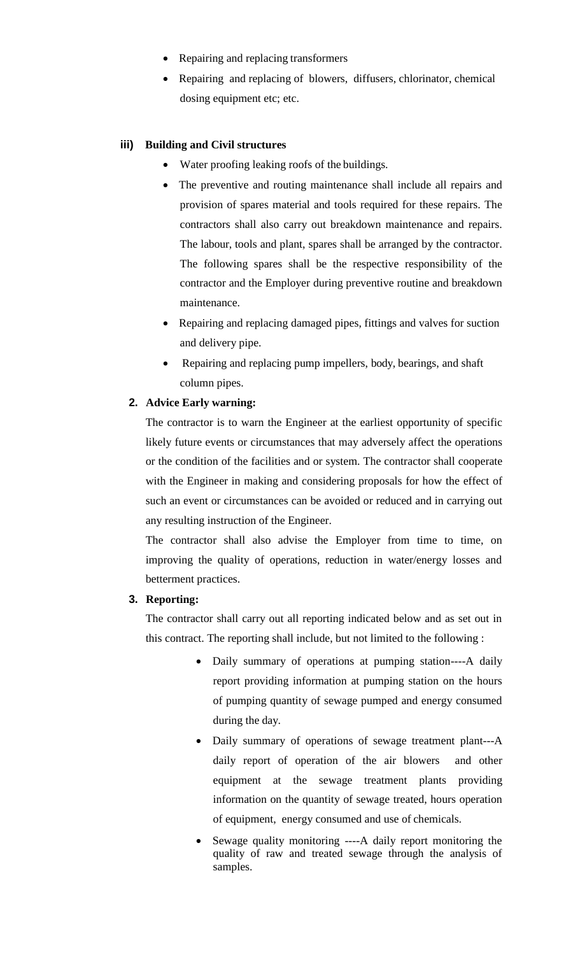- Repairing and replacing transformers
- Repairing and replacing of blowers, diffusers, chlorinator, chemical dosing equipment etc; etc.

## **iii) Building and Civil structures**

- Water proofing leaking roofs of the buildings.
- The preventive and routing maintenance shall include all repairs and provision of spares material and tools required for these repairs. The contractors shall also carry out breakdown maintenance and repairs. The labour, tools and plant, spares shall be arranged by the contractor. The following spares shall be the respective responsibility of the contractor and the Employer during preventive routine and breakdown maintenance.
- Repairing and replacing damaged pipes, fittings and valves for suction and delivery pipe.
- Repairing and replacing pump impellers, body, bearings, and shaft column pipes.

### **2. Advice Early warning:**

The contractor is to warn the Engineer at the earliest opportunity of specific likely future events or circumstances that may adversely affect the operations or the condition of the facilities and or system. The contractor shall cooperate with the Engineer in making and considering proposals for how the effect of such an event or circumstances can be avoided or reduced and in carrying out any resulting instruction of the Engineer.

The contractor shall also advise the Employer from time to time, on improving the quality of operations, reduction in water/energy losses and betterment practices.

## **3. Reporting:**

The contractor shall carry out all reporting indicated below and as set out in this contract. The reporting shall include, but not limited to the following :

- Daily summary of operations at pumping station----A daily report providing information at pumping station on the hours of pumping quantity of sewage pumped and energy consumed during the day.
- Daily summary of operations of sewage treatment plant---A daily report of operation of the air blowers and other equipment at the sewage treatment plants providing information on the quantity of sewage treated, hours operation of equipment, energy consumed and use of chemicals.
- Sewage quality monitoring ----A daily report monitoring the quality of raw and treated sewage through the analysis of samples.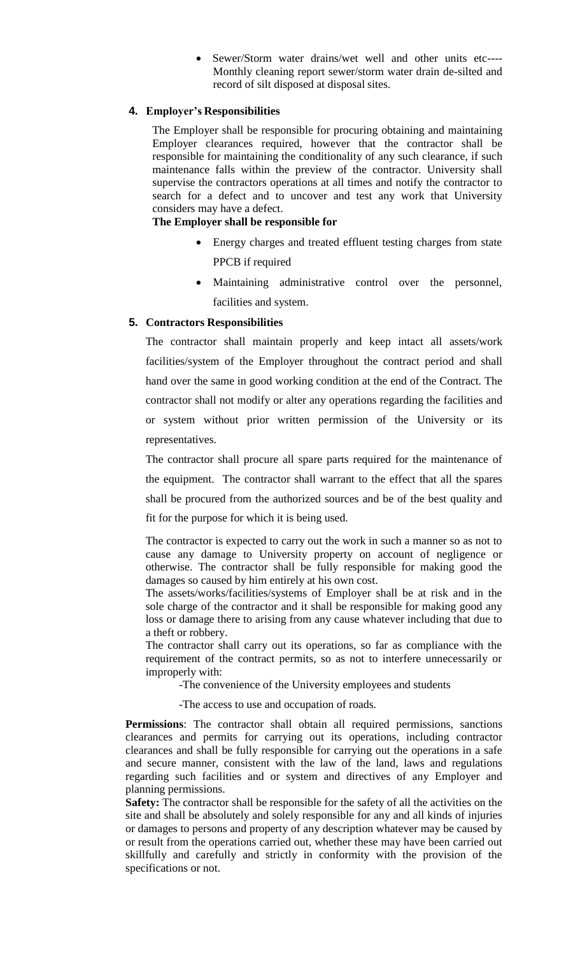Sewer/Storm water drains/wet well and other units etc---- Monthly cleaning report sewer/storm water drain de-silted and record of silt disposed at disposal sites.

## **4. Employer's Responsibilities**

The Employer shall be responsible for procuring obtaining and maintaining Employer clearances required, however that the contractor shall be responsible for maintaining the conditionality of any such clearance, if such maintenance falls within the preview of the contractor. University shall supervise the contractors operations at all times and notify the contractor to search for a defect and to uncover and test any work that University considers may have a defect.

#### **The Employer shall be responsible for**

- Energy charges and treated effluent testing charges from state PPCB if required
- Maintaining administrative control over the personnel, facilities and system.

### **5. Contractors Responsibilities**

The contractor shall maintain properly and keep intact all assets/work facilities/system of the Employer throughout the contract period and shall hand over the same in good working condition at the end of the Contract. The contractor shall not modify or alter any operations regarding the facilities and or system without prior written permission of the University or its representatives.

The contractor shall procure all spare parts required for the maintenance of the equipment. The contractor shall warrant to the effect that all the spares shall be procured from the authorized sources and be of the best quality and fit for the purpose for which it is being used.

The contractor is expected to carry out the work in such a manner so as not to cause any damage to University property on account of negligence or otherwise. The contractor shall be fully responsible for making good the damages so caused by him entirely at his own cost.

The assets/works/facilities/systems of Employer shall be at risk and in the sole charge of the contractor and it shall be responsible for making good any loss or damage there to arising from any cause whatever including that due to a theft or robbery.

The contractor shall carry out its operations, so far as compliance with the requirement of the contract permits, so as not to interfere unnecessarily or improperly with:

-The convenience of the University employees and students

-The access to use and occupation of roads.

**Permissions**: The contractor shall obtain all required permissions, sanctions clearances and permits for carrying out its operations, including contractor clearances and shall be fully responsible for carrying out the operations in a safe and secure manner, consistent with the law of the land, laws and regulations regarding such facilities and or system and directives of any Employer and planning permissions.

**Safety:** The contractor shall be responsible for the safety of all the activities on the site and shall be absolutely and solely responsible for any and all kinds of injuries or damages to persons and property of any description whatever may be caused by or result from the operations carried out, whether these may have been carried out skillfully and carefully and strictly in conformity with the provision of the specifications or not.